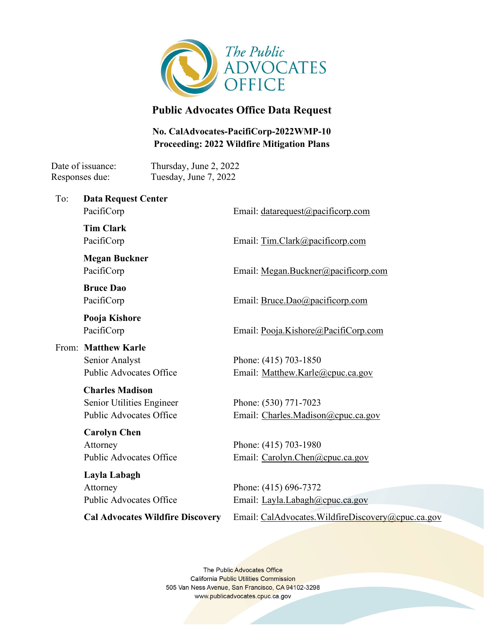

# **Public Advocates Office Data Request**

## **No. CalAdvocates-PacifiCorp-2022WMP-10 Proceeding: 2022 Wildfire Mitigation Plans**

Date of issuance: Thursday, June 2, 2022 Responses due: Tuesday, June 7, 2022

To: **Data Request Center**

Email: [datarequest@pacificorp.com](mailto:datarequest@pacificorp.com)

**Tim Clark** PacifiCorp

PacifiCorp

**Megan Buckner** PacifiCorp

**Bruce Dao** PacifiCorp

**Pooja Kishore** PacifiCorp

From: **Matthew Karle** Senior Analyst Public Advocates Office

#### **Charles Madison**

Senior Utilities Engineer Public Advocates Office

**Carolyn Chen** Attorney Public Advocates Office

**Layla Labagh** Attorney Public Advocates Office

Email: [Tim.Clark@pacificorp.com](mailto:Tim.Clark@pacificorp.com)

Email: Megan.Buckner@pacificorp.com

Email: Bruce.Dao@pacificorp.com

Email: [Pooja.Kishore@PacifiCorp.com](mailto:Pooja.Kishore@PacifiCorp.com)

Phone: (415) 703-1850 Email: [Matthew.Karle@cpuc.ca.gov](mailto:Matthew.Karle@cpuc.ca.gov) 

Phone: (530) 771-7023 Email: [Charles.Madison@cpuc.ca.gov](mailto:Charles.Madison@cpuc.ca.gov)

Phone: (415) 703-1980 Email: [Carolyn.Chen@cpuc.ca.gov](mailto:Carolyn.Chen@cpuc.ca.gov)

Phone: (415) 696-7372 Email: [Layla.Labagh@cpuc.ca.gov](mailto:Layla.Labagh@cpuc.ca.gov)

**Cal Advocates Wildfire Discovery**

Email: [CalAdvocates.WildfireDiscovery@cpuc.ca.gov](mailto:CalAdvocates.WildfireDiscovery@cpuc.ca.gov)

The Public Advocates Office **California Public Utilities Commission** 505 Van Ness Avenue, San Francisco, CA 94102-3298 www.publicadvocates.cpuc.ca.gov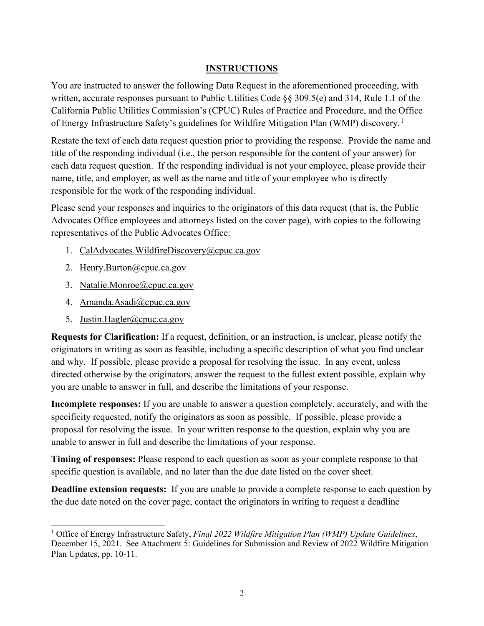### **INSTRUCTIONS**

You are instructed to answer the following Data Request in the aforementioned proceeding, with written, accurate responses pursuant to Public Utilities Code §§ 309.5(e) and 314, Rule 1.1 of the California Public Utilities Commission's (CPUC) Rules of Practice and Procedure, and the Office of Energy Infrastructure Safety's guidelines for Wildfire Mitigation Plan (WMP) discovery.<sup>[1](#page-1-0)</sup>

Restate the text of each data request question prior to providing the response. Provide the name and title of the responding individual (i.e., the person responsible for the content of your answer) for each data request question. If the responding individual is not your employee, please provide their name, title, and employer, as well as the name and title of your employee who is directly responsible for the work of the responding individual.

Please send your responses and inquiries to the originators of this data request (that is, the Public Advocates Office employees and attorneys listed on the cover page), with copies to the following representatives of the Public Advocates Office:

- 1. [CalAdvocates.WildfireDiscovery@cpuc.ca.gov](mailto:CalAdvocates.WildfireDiscovery@cpuc.ca.gov)
- 2. [Henry.Burton@cpuc.ca.gov](mailto:Henry.Burton@cpuc.ca.gov)
- 3. [Natalie.Monroe@cpuc.ca.gov](mailto:Natalie.Monroe@cpuc.ca.gov)
- 4. [Amanda.Asadi@cpuc.ca.gov](mailto:Amanda.Asadi@cpuc.ca.gov)
- 5. Justin.Hagler@cpuc.ca.gov

**Requests for Clarification:** If a request, definition, or an instruction, is unclear, please notify the originators in writing as soon as feasible, including a specific description of what you find unclear and why. If possible, please provide a proposal for resolving the issue. In any event, unless directed otherwise by the originators, answer the request to the fullest extent possible, explain why you are unable to answer in full, and describe the limitations of your response.

**Incomplete responses:** If you are unable to answer a question completely, accurately, and with the specificity requested, notify the originators as soon as possible. If possible, please provide a proposal for resolving the issue. In your written response to the question, explain why you are unable to answer in full and describe the limitations of your response.

**Timing of responses:** Please respond to each question as soon as your complete response to that specific question is available, and no later than the due date listed on the cover sheet.

**Deadline extension requests:** If you are unable to provide a complete response to each question by the due date noted on the cover page, contact the originators in writing to request a deadline

<span id="page-1-0"></span><sup>1</sup> Office of Energy Infrastructure Safety, *Final 2022 Wildfire Mitigation Plan (WMP) Update Guidelines*, December 15, 2021. See Attachment 5: Guidelines for Submission and Review of 2022 Wildfire Mitigation Plan Updates, pp. 10-11.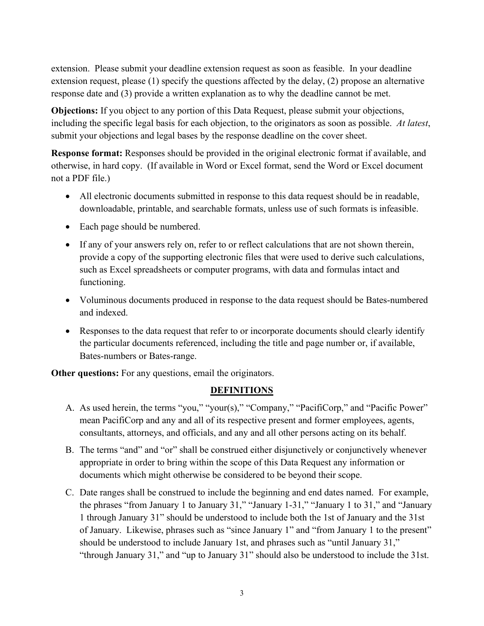extension. Please submit your deadline extension request as soon as feasible. In your deadline extension request, please (1) specify the questions affected by the delay, (2) propose an alternative response date and (3) provide a written explanation as to why the deadline cannot be met.

**Objections:** If you object to any portion of this Data Request, please submit your objections, including the specific legal basis for each objection, to the originators as soon as possible. *At latest*, submit your objections and legal bases by the response deadline on the cover sheet.

**Response format:** Responses should be provided in the original electronic format if available, and otherwise, in hard copy. (If available in Word or Excel format, send the Word or Excel document not a PDF file.)

- All electronic documents submitted in response to this data request should be in readable, downloadable, printable, and searchable formats, unless use of such formats is infeasible.
- Each page should be numbered.
- If any of your answers rely on, refer to or reflect calculations that are not shown therein, provide a copy of the supporting electronic files that were used to derive such calculations, such as Excel spreadsheets or computer programs, with data and formulas intact and functioning.
- Voluminous documents produced in response to the data request should be Bates-numbered and indexed.
- Responses to the data request that refer to or incorporate documents should clearly identify the particular documents referenced, including the title and page number or, if available, Bates-numbers or Bates-range.

**Other questions:** For any questions, email the originators.

#### **DEFINITIONS**

- A. As used herein, the terms "you," "your(s)," "Company," "PacifiCorp," and "Pacific Power" mean PacifiCorp and any and all of its respective present and former employees, agents, consultants, attorneys, and officials, and any and all other persons acting on its behalf.
- B. The terms "and" and "or" shall be construed either disjunctively or conjunctively whenever appropriate in order to bring within the scope of this Data Request any information or documents which might otherwise be considered to be beyond their scope.
- C. Date ranges shall be construed to include the beginning and end dates named. For example, the phrases "from January 1 to January 31," "January 1-31," "January 1 to 31," and "January 1 through January 31" should be understood to include both the 1st of January and the 31st of January. Likewise, phrases such as "since January 1" and "from January 1 to the present" should be understood to include January 1st, and phrases such as "until January 31," "through January 31," and "up to January 31" should also be understood to include the 31st.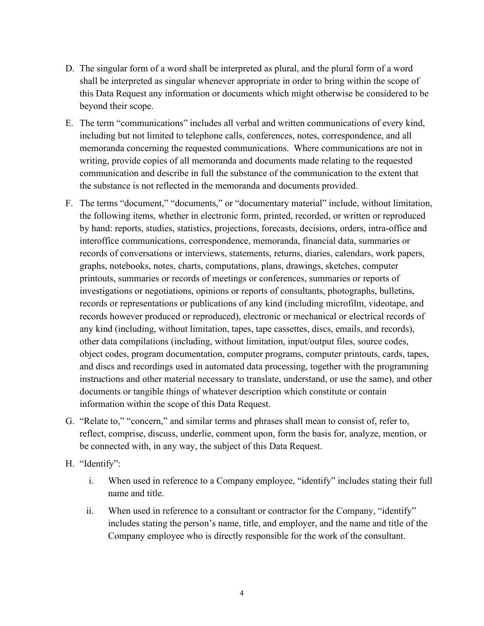- D. The singular form of a word shall be interpreted as plural, and the plural form of a word shall be interpreted as singular whenever appropriate in order to bring within the scope of this Data Request any information or documents which might otherwise be considered to be beyond their scope.
- E. The term "communications" includes all verbal and written communications of every kind, including but not limited to telephone calls, conferences, notes, correspondence, and all memoranda concerning the requested communications. Where communications are not in writing, provide copies of all memoranda and documents made relating to the requested communication and describe in full the substance of the communication to the extent that the substance is not reflected in the memoranda and documents provided.
- F. The terms "document," "documents," or "documentary material" include, without limitation, the following items, whether in electronic form, printed, recorded, or written or reproduced by hand: reports, studies, statistics, projections, forecasts, decisions, orders, intra-office and interoffice communications, correspondence, memoranda, financial data, summaries or records of conversations or interviews, statements, returns, diaries, calendars, work papers, graphs, notebooks, notes, charts, computations, plans, drawings, sketches, computer printouts, summaries or records of meetings or conferences, summaries or reports of investigations or negotiations, opinions or reports of consultants, photographs, bulletins, records or representations or publications of any kind (including microfilm, videotape, and records however produced or reproduced), electronic or mechanical or electrical records of any kind (including, without limitation, tapes, tape cassettes, discs, emails, and records), other data compilations (including, without limitation, input/output files, source codes, object codes, program documentation, computer programs, computer printouts, cards, tapes, and discs and recordings used in automated data processing, together with the programming instructions and other material necessary to translate, understand, or use the same), and other documents or tangible things of whatever description which constitute or contain information within the scope of this Data Request.
- G. "Relate to," "concern," and similar terms and phrases shall mean to consist of, refer to, reflect, comprise, discuss, underlie, comment upon, form the basis for, analyze, mention, or be connected with, in any way, the subject of this Data Request.
- H. "Identify":
	- i. When used in reference to a Company employee, "identify" includes stating their full name and title.
	- ii. When used in reference to a consultant or contractor for the Company, "identify" includes stating the person's name, title, and employer, and the name and title of the Company employee who is directly responsible for the work of the consultant.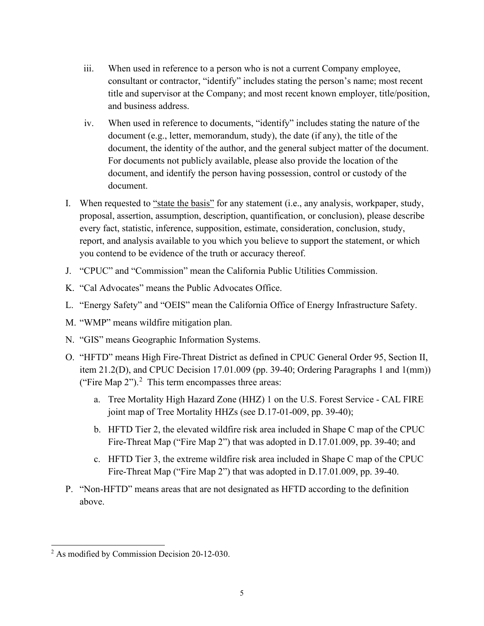- iii. When used in reference to a person who is not a current Company employee, consultant or contractor, "identify" includes stating the person's name; most recent title and supervisor at the Company; and most recent known employer, title/position, and business address.
- iv. When used in reference to documents, "identify" includes stating the nature of the document (e.g., letter, memorandum, study), the date (if any), the title of the document, the identity of the author, and the general subject matter of the document. For documents not publicly available, please also provide the location of the document, and identify the person having possession, control or custody of the document.
- I. When requested to "state the basis" for any statement (i.e., any analysis, workpaper, study, proposal, assertion, assumption, description, quantification, or conclusion), please describe every fact, statistic, inference, supposition, estimate, consideration, conclusion, study, report, and analysis available to you which you believe to support the statement, or which you contend to be evidence of the truth or accuracy thereof.
- J. "CPUC" and "Commission" mean the California Public Utilities Commission.
- K. "Cal Advocates" means the Public Advocates Office.
- L. "Energy Safety" and "OEIS" mean the California Office of Energy Infrastructure Safety.
- M. "WMP" means wildfire mitigation plan.
- N. "GIS" means Geographic Information Systems.
- O. "HFTD" means High Fire-Threat District as defined in CPUC General Order 95, Section II, item 21.2(D), and CPUC Decision 17.01.009 (pp. 39-40; Ordering Paragraphs 1 and 1(mm)) ("Fire Map  $2$ ").<sup>2</sup> This term encompasses three areas:
	- a. Tree Mortality High Hazard Zone (HHZ) 1 on the U.S. Forest Service CAL FIRE joint map of Tree Mortality HHZs (see D.17-01-009, pp. 39-40);
	- b. HFTD Tier 2, the elevated wildfire risk area included in Shape C map of the CPUC Fire-Threat Map ("Fire Map 2") that was adopted in D.17.01.009, pp. 39-40; and
	- c. HFTD Tier 3, the extreme wildfire risk area included in Shape C map of the CPUC Fire-Threat Map ("Fire Map 2") that was adopted in D.17.01.009, pp. 39-40.
- P. "Non-HFTD" means areas that are not designated as HFTD according to the definition above.

<span id="page-4-0"></span><sup>2</sup> As modified by Commission Decision 20-12-030.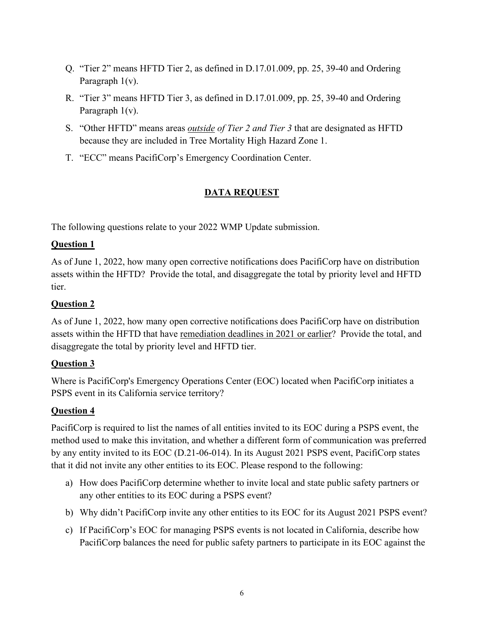- Q. "Tier 2" means HFTD Tier 2, as defined in D.17.01.009, pp. 25, 39-40 and Ordering Paragraph 1(v).
- R. "Tier 3" means HFTD Tier 3, as defined in D.17.01.009, pp. 25, 39-40 and Ordering Paragraph 1(v).
- S. "Other HFTD" means areas *outside of Tier 2 and Tier 3* that are designated as HFTD because they are included in Tree Mortality High Hazard Zone 1.
- T. "ECC" means PacifiCorp's Emergency Coordination Center.

### **DATA REQUEST**

The following questions relate to your 2022 WMP Update submission.

#### **Question 1**

As of June 1, 2022, how many open corrective notifications does PacifiCorp have on distribution assets within the HFTD? Provide the total, and disaggregate the total by priority level and HFTD tier.

### **Question 2**

As of June 1, 2022, how many open corrective notifications does PacifiCorp have on distribution assets within the HFTD that have remediation deadlines in 2021 or earlier? Provide the total, and disaggregate the total by priority level and HFTD tier.

#### **Question 3**

Where is PacifiCorp's Emergency Operations Center (EOC) located when PacifiCorp initiates a PSPS event in its California service territory?

#### **Question 4**

PacifiCorp is required to list the names of all entities invited to its EOC during a PSPS event, the method used to make this invitation, and whether a different form of communication was preferred by any entity invited to its EOC (D.21-06-014). In its August 2021 PSPS event, PacifiCorp states that it did not invite any other entities to its EOC. Please respond to the following:

- a) How does PacifiCorp determine whether to invite local and state public safety partners or any other entities to its EOC during a PSPS event?
- b) Why didn't PacifiCorp invite any other entities to its EOC for its August 2021 PSPS event?
- c) If PacifiCorp's EOC for managing PSPS events is not located in California, describe how PacifiCorp balances the need for public safety partners to participate in its EOC against the